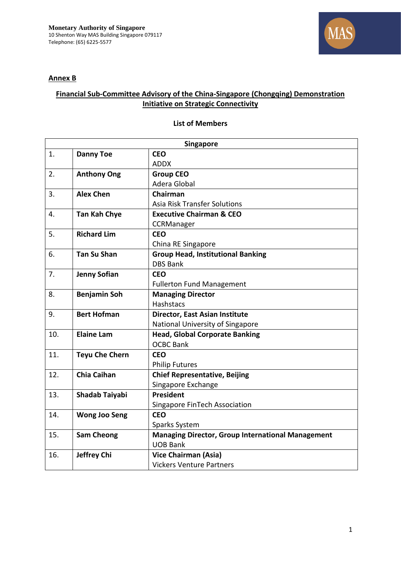



## **Financial Sub-Committee Advisory of the China-Singapore (Chongqing) Demonstration Initiative on Strategic Connectivity**

## **List of Members**

| <b>Singapore</b> |                       |                                                          |
|------------------|-----------------------|----------------------------------------------------------|
| 1.               | <b>Danny Toe</b>      | <b>CEO</b>                                               |
|                  |                       | <b>ADDX</b>                                              |
| 2.               | <b>Anthony Ong</b>    | <b>Group CEO</b>                                         |
|                  |                       | Adera Global                                             |
| 3.               | <b>Alex Chen</b>      | Chairman                                                 |
|                  |                       | <b>Asia Risk Transfer Solutions</b>                      |
| 4.               | <b>Tan Kah Chye</b>   | <b>Executive Chairman &amp; CEO</b>                      |
|                  |                       | CCRManager                                               |
| 5.               | <b>Richard Lim</b>    | <b>CEO</b>                                               |
|                  |                       | China RE Singapore                                       |
| 6.               | <b>Tan Su Shan</b>    | <b>Group Head, Institutional Banking</b>                 |
|                  |                       | <b>DBS Bank</b>                                          |
| 7.               | <b>Jenny Sofian</b>   | <b>CEO</b>                                               |
|                  |                       | <b>Fullerton Fund Management</b>                         |
| 8.               | <b>Benjamin Soh</b>   | <b>Managing Director</b>                                 |
|                  |                       | <b>Hashstacs</b>                                         |
| 9.               | <b>Bert Hofman</b>    | Director, East Asian Institute                           |
|                  |                       | National University of Singapore                         |
| 10.              | <b>Elaine Lam</b>     | <b>Head, Global Corporate Banking</b>                    |
|                  |                       | <b>OCBC Bank</b>                                         |
| 11.              | <b>Teyu Che Chern</b> | <b>CEO</b>                                               |
|                  |                       | <b>Philip Futures</b>                                    |
| 12.              | <b>Chia Caihan</b>    | <b>Chief Representative, Beijing</b>                     |
|                  |                       | Singapore Exchange                                       |
| 13.              | Shadab Taiyabi        | <b>President</b>                                         |
|                  |                       | Singapore FinTech Association                            |
| 14.              | <b>Wong Joo Seng</b>  | <b>CEO</b>                                               |
|                  |                       | Sparks System                                            |
| 15.              | <b>Sam Cheong</b>     | <b>Managing Director, Group International Management</b> |
|                  |                       | <b>UOB Bank</b>                                          |
| 16.              | Jeffrey Chi           | <b>Vice Chairman (Asia)</b>                              |
|                  |                       | <b>Vickers Venture Partners</b>                          |